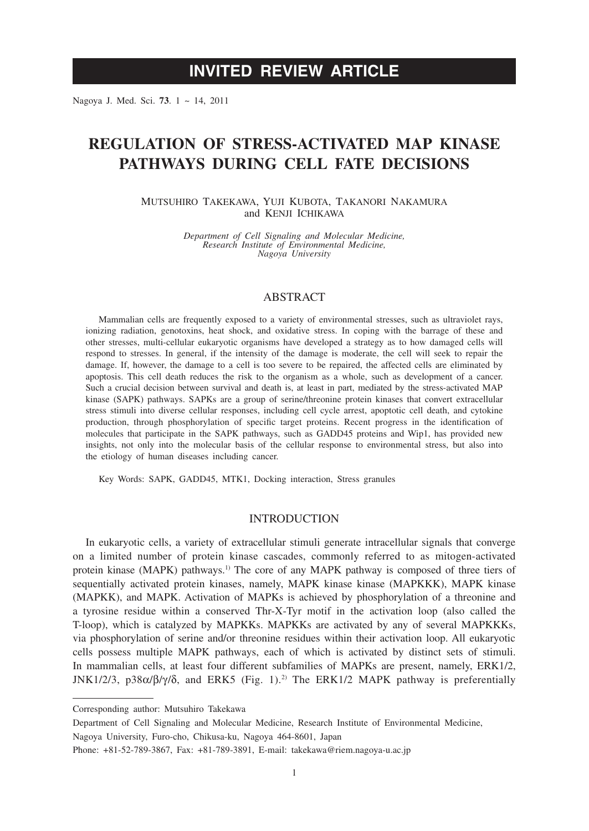# **INVITED REVIEW ARTICLE**

Nagoya J. Med. Sci. **73**. 1 ~ 14, 2011

# **REGULATION OF STRESS-ACTIVATED MAP KINASE PATHWAYS DURING CELL FATE DECISIONS**

MUTSUHIRO TAKEKAWA, YUJI KUBOTA, TAKANORI NAKAMURA and KENJI ICHIKAWA

> *Department of Cell Signaling and Molecular Medicine, Research Institute of Environmental Medicine, Nagoya University*

#### ABSTRACT

Mammalian cells are frequently exposed to a variety of environmental stresses, such as ultraviolet rays, ionizing radiation, genotoxins, heat shock, and oxidative stress. In coping with the barrage of these and other stresses, multi-cellular eukaryotic organisms have developed a strategy as to how damaged cells will respond to stresses. In general, if the intensity of the damage is moderate, the cell will seek to repair the damage. If, however, the damage to a cell is too severe to be repaired, the affected cells are eliminated by apoptosis. This cell death reduces the risk to the organism as a whole, such as development of a cancer. Such a crucial decision between survival and death is, at least in part, mediated by the stress-activated MAP kinase (SAPK) pathways. SAPKs are a group of serine/threonine protein kinases that convert extracellular stress stimuli into diverse cellular responses, including cell cycle arrest, apoptotic cell death, and cytokine production, through phosphorylation of specific target proteins. Recent progress in the identification of molecules that participate in the SAPK pathways, such as GADD45 proteins and Wip1, has provided new insights, not only into the molecular basis of the cellular response to environmental stress, but also into the etiology of human diseases including cancer.

Key Words: SAPK, GADD45, MTK1, Docking interaction, Stress granules

#### INTRODUCTION

In eukaryotic cells, a variety of extracellular stimuli generate intracellular signals that converge on a limited number of protein kinase cascades, commonly referred to as mitogen-activated protein kinase (MAPK) pathways.<sup>1)</sup> The core of any MAPK pathway is composed of three tiers of sequentially activated protein kinases, namely, MAPK kinase kinase (MAPKKK), MAPK kinase (MAPKK), and MAPK. Activation of MAPKs is achieved by phosphorylation of a threonine and a tyrosine residue within a conserved Thr-X-Tyr motif in the activation loop (also called the T-loop), which is catalyzed by MAPKKs. MAPKKs are activated by any of several MAPKKKs, via phosphorylation of serine and/or threonine residues within their activation loop. All eukaryotic cells possess multiple MAPK pathways, each of which is activated by distinct sets of stimuli. In mammalian cells, at least four different subfamilies of MAPKs are present, namely, ERK1/2, JNK1/2/3,  $p38\alpha/\beta/\gamma/\delta$ , and ERK5 (Fig. 1).<sup>2)</sup> The ERK1/2 MAPK pathway is preferentially

Department of Cell Signaling and Molecular Medicine, Research Institute of Environmental Medicine,

Nagoya University, Furo-cho, Chikusa-ku, Nagoya 464-8601, Japan

Phone: +81-52-789-3867, Fax: +81-789-3891, E-mail: takekawa@riem.nagoya-u.ac.jp

Corresponding author: Mutsuhiro Takekawa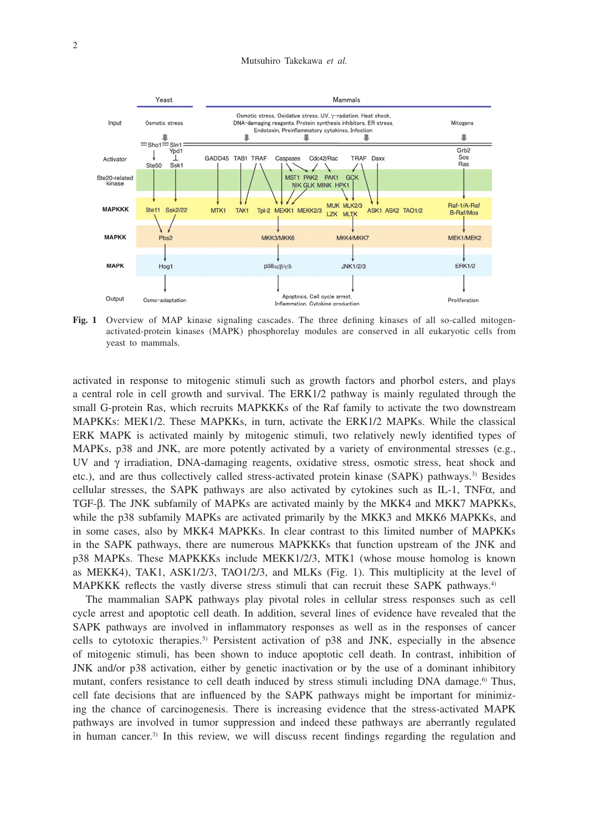

**Fig. 1** Overview of MAP kinase signaling cascades. The three defining kinases of all so-called mitogenactivated-protein kinases (MAPK) phosphorelay modules are conserved in all eukaryotic cells from yeast to mammals.

activated in response to mitogenic stimuli such as growth factors and phorbol esters, and plays a central role in cell growth and survival. The ERK1/2 pathway is mainly regulated through the small G-protein Ras, which recruits MAPKKKs of the Raf family to activate the two downstream MAPKKs: MEK1/2. These MAPKKs, in turn, activate the ERK1/2 MAPKs. While the classical ERK MAPK is activated mainly by mitogenic stimuli, two relatively newly identified types of MAPKs, p38 and JNK, are more potently activated by a variety of environmental stresses (e.g., UV and  $\gamma$  irradiation, DNA-damaging reagents, oxidative stress, osmotic stress, heat shock and etc.), and are thus collectively called stress-activated protein kinase (SAPK) pathways.3) Besides cellular stresses, the SAPK pathways are also activated by cytokines such as IL-1, TNF $\alpha$ , and TGF-β. The JNK subfamily of MAPKs are activated mainly by the MKK4 and MKK7 MAPKKs, while the p38 subfamily MAPKs are activated primarily by the MKK3 and MKK6 MAPKKs, and in some cases, also by MKK4 MAPKKs. In clear contrast to this limited number of MAPKKs in the SAPK pathways, there are numerous MAPKKKs that function upstream of the JNK and p38 MAPKs. These MAPKKKs include MEKK1/2/3, MTK1 (whose mouse homolog is known as MEKK4), TAK1, ASK1/2/3, TAO1/2/3, and MLKs (Fig. 1). This multiplicity at the level of MAPKKK reflects the vastly diverse stress stimuli that can recruit these SAPK pathways.<sup>4)</sup>

The mammalian SAPK pathways play pivotal roles in cellular stress responses such as cell cycle arrest and apoptotic cell death. In addition, several lines of evidence have revealed that the SAPK pathways are involved in inflammatory responses as well as in the responses of cancer cells to cytotoxic therapies.5) Persistent activation of p38 and JNK, especially in the absence of mitogenic stimuli, has been shown to induce apoptotic cell death. In contrast, inhibition of JNK and/or p38 activation, either by genetic inactivation or by the use of a dominant inhibitory mutant, confers resistance to cell death induced by stress stimuli including DNA damage.<sup>6</sup> Thus, cell fate decisions that are influenced by the SAPK pathways might be important for minimizing the chance of carcinogenesis. There is increasing evidence that the stress-activated MAPK pathways are involved in tumor suppression and indeed these pathways are aberrantly regulated in human cancer.<sup>3)</sup> In this review, we will discuss recent findings regarding the regulation and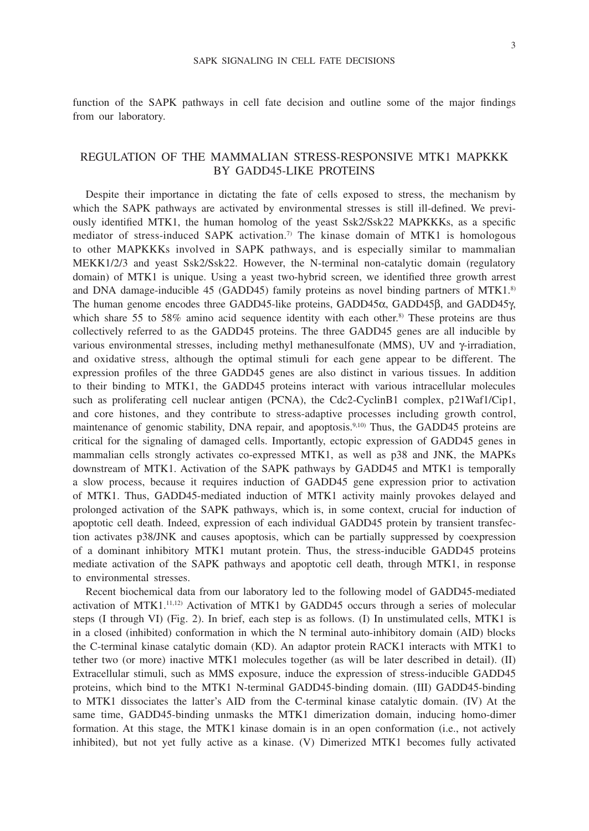function of the SAPK pathways in cell fate decision and outline some of the major findings from our laboratory.

#### REGULATION OF THE MAMMALIAN STRESS-RESPONSIVE MTK1 MAPKKK BY GADD45-LIKE PROTEINS

Despite their importance in dictating the fate of cells exposed to stress, the mechanism by which the SAPK pathways are activated by environmental stresses is still ill-defined. We previously identified MTK1, the human homolog of the yeast Ssk2/Ssk22 MAPKKKs, as a specific mediator of stress-induced SAPK activation.<sup>7)</sup> The kinase domain of MTK1 is homologous to other MAPKKKs involved in SAPK pathways, and is especially similar to mammalian MEKK1/2/3 and yeast Ssk2/Ssk22. However, the N-terminal non-catalytic domain (regulatory domain) of MTK1 is unique. Using a yeast two-hybrid screen, we identified three growth arrest and DNA damage-inducible 45 (GADD45) family proteins as novel binding partners of  $MTK1$ .<sup>8)</sup> The human genome encodes three GADD45-like proteins,  $GADD45\alpha$ ,  $GADD45\beta$ , and  $GADD45\gamma$ , which share 55 to 58% amino acid sequence identity with each other.<sup>8)</sup> These proteins are thus collectively referred to as the GADD45 proteins. The three GADD45 genes are all inducible by various environmental stresses, including methyl methanesulfonate (MMS), UV and γ-irradiation, and oxidative stress, although the optimal stimuli for each gene appear to be different. The expression profiles of the three GADD45 genes are also distinct in various tissues. In addition to their binding to MTK1, the GADD45 proteins interact with various intracellular molecules such as proliferating cell nuclear antigen (PCNA), the Cdc2-CyclinB1 complex, p21Waf1/Cip1, and core histones, and they contribute to stress-adaptive processes including growth control, maintenance of genomic stability, DNA repair, and apoptosis.<sup>9,10)</sup> Thus, the GADD45 proteins are critical for the signaling of damaged cells. Importantly, ectopic expression of GADD45 genes in mammalian cells strongly activates co-expressed MTK1, as well as p38 and JNK, the MAPKs downstream of MTK1. Activation of the SAPK pathways by GADD45 and MTK1 is temporally a slow process, because it requires induction of GADD45 gene expression prior to activation of MTK1. Thus, GADD45-mediated induction of MTK1 activity mainly provokes delayed and prolonged activation of the SAPK pathways, which is, in some context, crucial for induction of apoptotic cell death. Indeed, expression of each individual GADD45 protein by transient transfection activates p38/JNK and causes apoptosis, which can be partially suppressed by coexpression of a dominant inhibitory MTK1 mutant protein. Thus, the stress-inducible GADD45 proteins mediate activation of the SAPK pathways and apoptotic cell death, through MTK1, in response to environmental stresses.

Recent biochemical data from our laboratory led to the following model of GADD45-mediated activation of MTK1.<sup>11,12)</sup> Activation of MTK1 by GADD45 occurs through a series of molecular steps (I through VI) (Fig. 2). In brief, each step is as follows. (I) In unstimulated cells, MTK1 is in a closed (inhibited) conformation in which the N terminal auto-inhibitory domain (AID) blocks the C-terminal kinase catalytic domain (KD). An adaptor protein RACK1 interacts with MTK1 to tether two (or more) inactive MTK1 molecules together (as will be later described in detail). (II) Extracellular stimuli, such as MMS exposure, induce the expression of stress-inducible GADD45 proteins, which bind to the MTK1 N-terminal GADD45-binding domain. (III) GADD45-binding to MTK1 dissociates the latter's AID from the C-terminal kinase catalytic domain. (IV) At the same time, GADD45-binding unmasks the MTK1 dimerization domain, inducing homo-dimer formation. At this stage, the MTK1 kinase domain is in an open conformation (i.e., not actively inhibited), but not yet fully active as a kinase. (V) Dimerized MTK1 becomes fully activated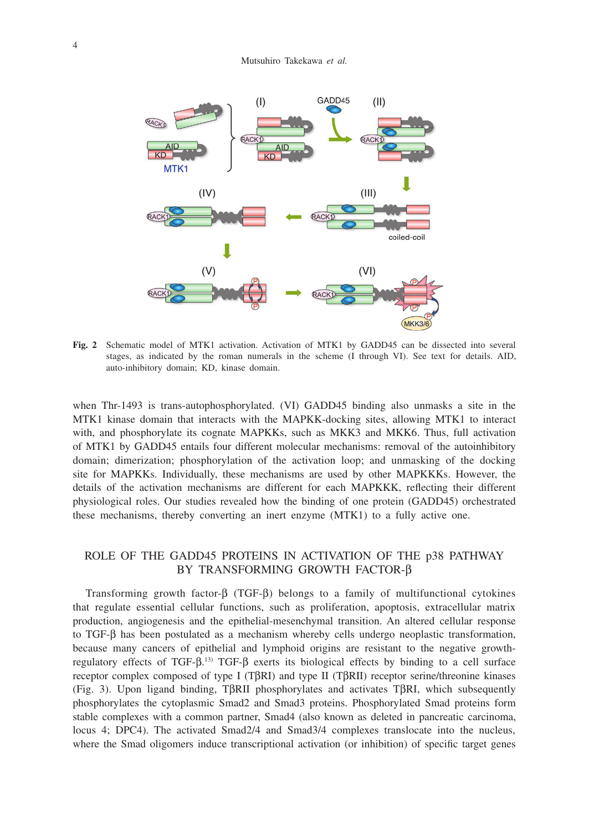

**Fig. 2** Schematic model of MTK1 activation. Activation of MTK1 by GADD45 can be dissected into several stages, as indicated by the roman numerals in the scheme (I through VI). See text for details. AID, auto-inhibitory domain; KD, kinase domain.

when Thr-1493 is trans-autophosphorylated. (VI) GADD45 binding also unmasks a site in the MTK1 kinase domain that interacts with the MAPKK-docking sites, allowing MTK1 to interact with, and phosphorylate its cognate MAPKKs, such as MKK3 and MKK6. Thus, full activation of MTK1 by GADD45 entails four different molecular mechanisms: removal of the autoinhibitory domain; dimerization; phosphorylation of the activation loop; and unmasking of the docking site for MAPKKs. Individually, these mechanisms are used by other MAPKKKs. However, the details of the activation mechanisms are different for each MAPKKK, reflecting their different physiological roles. Our studies revealed how the binding of one protein (GADD45) orchestrated these mechanisms, thereby converting an inert enzyme (MTK1) to a fully active one.

# ROLE OF THE GADD45 PROTEINS IN ACTIVATION OF THE p38 PATHWAY BY TRANSFORMING GROWTH FACTOR- $\beta$

Transforming growth factor-b (TGF-β) belongs to a family of multifunctional cytokines that regulate essential cellular functions, such as proliferation, apoptosis, extracellular matrix production, angiogenesis and the epithelial-mesenchymal transition. An altered cellular response to TGF-β has been postulated as a mechanism whereby cells undergo neoplastic transformation, because many cancers of epithelial and lymphoid origins are resistant to the negative growthregulatory effects of TGF-β. 13) TGF-β exerts its biological effects by binding to a cell surface receptor complex composed of type I (T $\beta$ RI) and type II (T $\beta$ RII) receptor serine/threonine kinases (Fig. 3). Upon ligand binding, T $\beta$ RII phosphorylates and activates T $\beta$ RI, which subsequently phosphorylates the cytoplasmic Smad2 and Smad3 proteins. Phosphorylated Smad proteins form stable complexes with a common partner, Smad4 (also known as deleted in pancreatic carcinoma, locus 4; DPC4). The activated Smad2/4 and Smad3/4 complexes translocate into the nucleus, where the Smad oligomers induce transcriptional activation (or inhibition) of specific target genes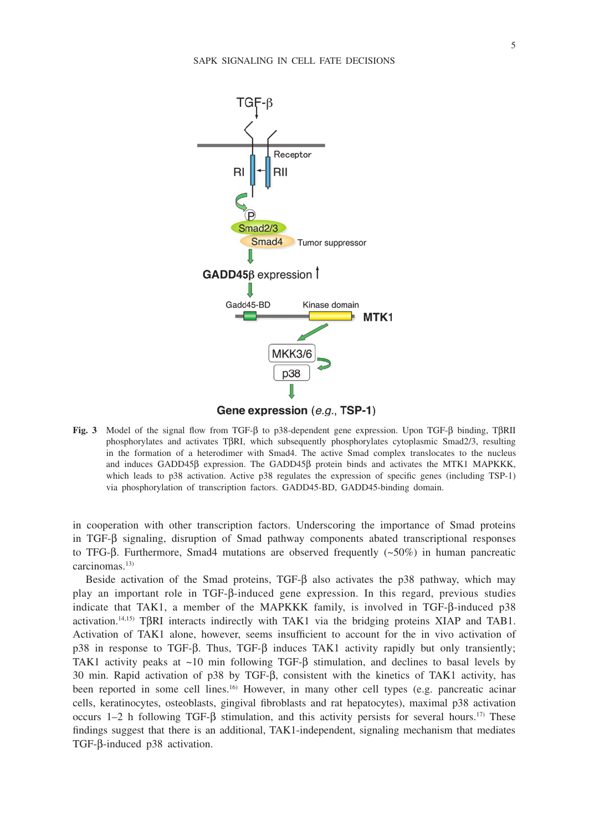

**Fig. 3** Model of the signal flow from TGF-b to p38-dependent gene expression. Upon TGF-b binding, TbRII phosphorylates and activates T $\beta$ RI, which subsequently phosphorylates cytoplasmic Smad2/3, resulting in the formation of a heterodimer with Smad4. The active Smad complex translocates to the nucleus and induces GADD45 $\beta$  expression. The GADD45 $\beta$  protein binds and activates the MTK1 MAPKKK, which leads to p38 activation. Active p38 regulates the expression of specific genes (including TSP-1) via phosphorylation of transcription factors. GADD45-BD, GADD45-binding domain.

in cooperation with other transcription factors. Underscoring the importance of Smad proteins in TGF-β signaling, disruption of Smad pathway components abated transcriptional responses to TFG- $\beta$ . Furthermore, Smad4 mutations are observed frequently (~50%) in human pancreatic carcinomas.13)

Beside activation of the Smad proteins, TGF-β also activates the p38 pathway, which may play an important role in TGF-β-induced gene expression. In this regard, previous studies indicate that TAK1, a member of the MAPKKK family, is involved in TGF-β-induced p38 activation.<sup>14,15)</sup> T $\beta$ RI interacts indirectly with TAK1 via the bridging proteins XIAP and TAB1. Activation of TAK1 alone, however, seems insufficient to account for the in vivo activation of p38 in response to TGF-β. Thus, TGF-β induces TAK1 activity rapidly but only transiently; TAK1 activity peaks at  $\sim$ 10 min following TGF- $\beta$  stimulation, and declines to basal levels by 30 min. Rapid activation of p38 by TGF-β, consistent with the kinetics of TAK1 activity, has been reported in some cell lines.16) However, in many other cell types (e.g. pancreatic acinar cells, keratinocytes, osteoblasts, gingival fibroblasts and rat hepatocytes), maximal p38 activation occurs 1–2 h following TGF- $\beta$  stimulation, and this activity persists for several hours.<sup>17)</sup> These findings suggest that there is an additional, TAK1-independent, signaling mechanism that mediates TGF-β-induced p38 activation.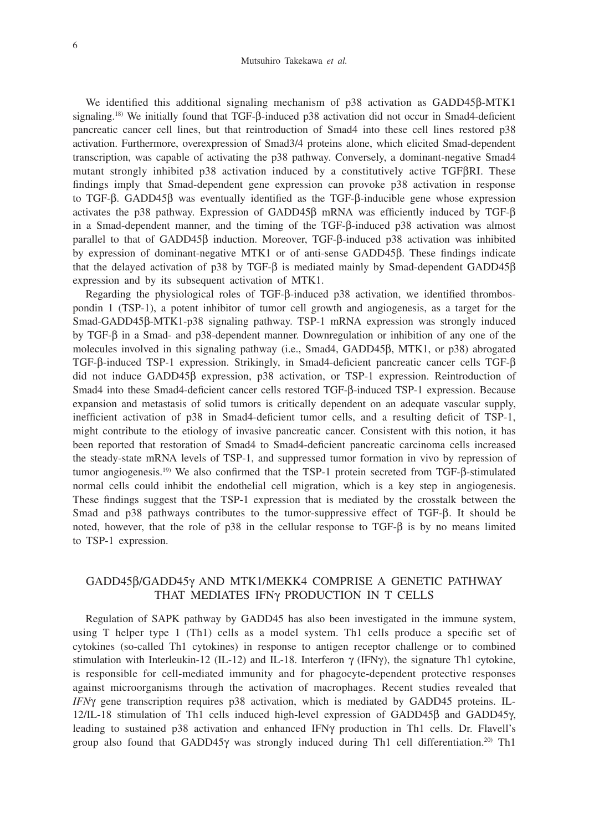#### Mutsuhiro Takekawa *et al.*

We identified this additional signaling mechanism of  $p38$  activation as  $GADD45\beta-MTK1$ signaling.18) We initially found that TGF-β-induced p38 activation did not occur in Smad4-deficient pancreatic cancer cell lines, but that reintroduction of Smad4 into these cell lines restored p38 activation. Furthermore, overexpression of Smad3/4 proteins alone, which elicited Smad-dependent transcription, was capable of activating the p38 pathway. Conversely, a dominant-negative Smad4 mutant strongly inhibited p38 activation induced by a constitutively active TGFβRI. These findings imply that Smad-dependent gene expression can provoke p38 activation in response to TGF-β. GADD45 $\beta$  was eventually identified as the TGF-β-inducible gene whose expression activates the p38 pathway. Expression of GADD45 $\beta$  mRNA was efficiently induced by TGF- $\beta$ in a Smad-dependent manner, and the timing of the TGF-β-induced p38 activation was almost parallel to that of GADD45β induction. Moreover, TGF-β-induced p38 activation was inhibited by expression of dominant-negative MTK1 or of anti-sense GADD45β. These findings indicate that the delayed activation of p38 by TGF-β is mediated mainly by Smad-dependent GADD45β expression and by its subsequent activation of MTK1.

Regarding the physiological roles of TGF-β-induced p38 activation, we identified thrombospondin 1 (TSP-1), a potent inhibitor of tumor cell growth and angiogenesis, as a target for the Smad-GADD45 $\beta$ -MTK1-p38 signaling pathway. TSP-1 mRNA expression was strongly induced by TGF-β in a Smad- and p38-dependent manner. Downregulation or inhibition of any one of the molecules involved in this signaling pathway (i.e., Smad4, GADD45 $\beta$ , MTK1, or p38) abrogated TGF-b-induced TSP-1 expression. Strikingly, in Smad4-deficient pancreatic cancer cells TGF-b did not induce GADD45 $\beta$  expression, p38 activation, or TSP-1 expression. Reintroduction of Smad4 into these Smad4-deficient cancer cells restored TGF-b-induced TSP-1 expression. Because expansion and metastasis of solid tumors is critically dependent on an adequate vascular supply, inefficient activation of p38 in Smad4-deficient tumor cells, and a resulting deficit of TSP-1, might contribute to the etiology of invasive pancreatic cancer. Consistent with this notion, it has been reported that restoration of Smad4 to Smad4-deficient pancreatic carcinoma cells increased the steady-state mRNA levels of TSP-1, and suppressed tumor formation in vivo by repression of tumor angiogenesis.<sup>19)</sup> We also confirmed that the TSP-1 protein secreted from TGF- $\beta$ -stimulated normal cells could inhibit the endothelial cell migration, which is a key step in angiogenesis. These findings suggest that the TSP-1 expression that is mediated by the crosstalk between the Smad and p38 pathways contributes to the tumor-suppressive effect of TGF-B. It should be noted, however, that the role of  $p38$  in the cellular response to TGF- $\beta$  is by no means limited to TSP-1 expression.

### GADD45b/GADD45g AND MTK1/MEKK4 COMPRISE A GENETIC PATHWAY THAT MEDIATES IFNY PRODUCTION IN T CELLS

Regulation of SAPK pathway by GADD45 has also been investigated in the immune system, using T helper type 1 (Th1) cells as a model system. Th1 cells produce a specific set of cytokines (so-called Th1 cytokines) in response to antigen receptor challenge or to combined stimulation with Interleukin-12 (IL-12) and IL-18. Interferon  $\gamma$  (IFN $\gamma$ ), the signature Th1 cytokine, is responsible for cell-mediated immunity and for phagocyte-dependent protective responses against microorganisms through the activation of macrophages. Recent studies revealed that *IFN*g gene transcription requires p38 activation, which is mediated by GADD45 proteins. IL-12/IL-18 stimulation of Th1 cells induced high-level expression of GADD45 $\beta$  and GADD45 $\gamma$ , leading to sustained  $p38$  activation and enhanced IFN $\gamma$  production in Th1 cells. Dr. Flavell's group also found that GADD45 $\gamma$  was strongly induced during Th1 cell differentiation.<sup>20)</sup> Th1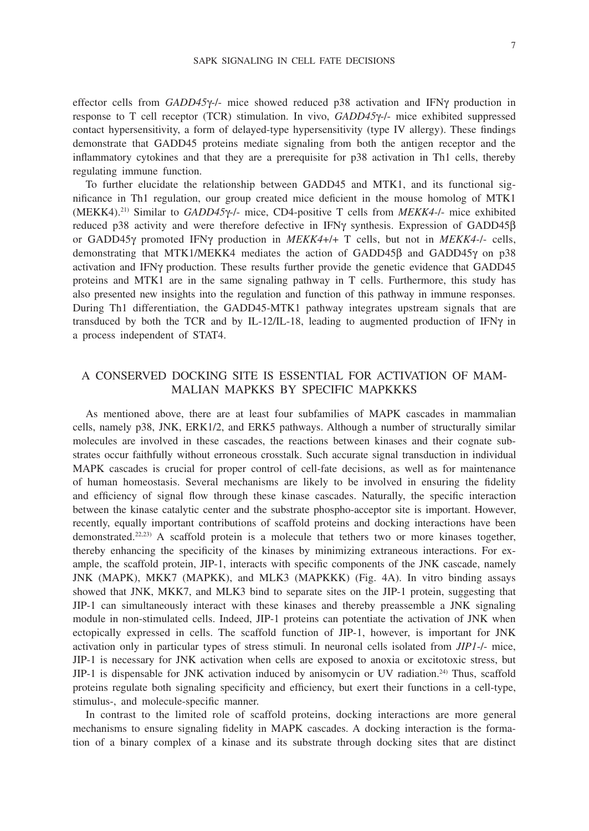effector cells from *GADD45* $\gamma$ -/- mice showed reduced p38 activation and IFN $\gamma$  production in response to T cell receptor (TCR) stimulation. In vivo, *GADD45*g-/- mice exhibited suppressed contact hypersensitivity, a form of delayed-type hypersensitivity (type IV allergy). These findings demonstrate that GADD45 proteins mediate signaling from both the antigen receptor and the inflammatory cytokines and that they are a prerequisite for p38 activation in Th1 cells, thereby regulating immune function.

To further elucidate the relationship between GADD45 and MTK1, and its functional significance in Th1 regulation, our group created mice deficient in the mouse homolog of MTK1 (MEKK4).21) Similar to *GADD45*g-/- mice, CD4-positive T cells from *MEKK4*-/- mice exhibited reduced p38 activity and were therefore defective in IFNy synthesis. Expression of GADD45 $\beta$ or GADD45g promoted IFNg production in *MEKK4*+/+ T cells, but not in *MEKK4*-/- cells, demonstrating that MTK1/MEKK4 mediates the action of GADD45 $\beta$  and GADD45 $\gamma$  on p38 activation and IFNg production. These results further provide the genetic evidence that GADD45 proteins and MTK1 are in the same signaling pathway in T cells. Furthermore, this study has also presented new insights into the regulation and function of this pathway in immune responses. During Th1 differentiation, the GADD45-MTK1 pathway integrates upstream signals that are transduced by both the TCR and by IL-12/IL-18, leading to augmented production of IFN $\gamma$  in a process independent of STAT4.

# A CONSERVED DOCKING SITE IS ESSENTIAL FOR ACTIVATION OF MAM-MALIAN MAPKKS BY SPECIFIC MAPKKKS

As mentioned above, there are at least four subfamilies of MAPK cascades in mammalian cells, namely p38, JNK, ERK1/2, and ERK5 pathways. Although a number of structurally similar molecules are involved in these cascades, the reactions between kinases and their cognate substrates occur faithfully without erroneous crosstalk. Such accurate signal transduction in individual MAPK cascades is crucial for proper control of cell-fate decisions, as well as for maintenance of human homeostasis. Several mechanisms are likely to be involved in ensuring the fidelity and efficiency of signal flow through these kinase cascades. Naturally, the specific interaction between the kinase catalytic center and the substrate phospho-acceptor site is important. However, recently, equally important contributions of scaffold proteins and docking interactions have been demonstrated.<sup>22,23)</sup> A scaffold protein is a molecule that tethers two or more kinases together, thereby enhancing the specificity of the kinases by minimizing extraneous interactions. For example, the scaffold protein, JIP-1, interacts with specific components of the JNK cascade, namely JNK (MAPK), MKK7 (MAPKK), and MLK3 (MAPKKK) (Fig. 4A). In vitro binding assays showed that JNK, MKK7, and MLK3 bind to separate sites on the JIP-1 protein, suggesting that JIP-1 can simultaneously interact with these kinases and thereby preassemble a JNK signaling module in non-stimulated cells. Indeed, JIP-1 proteins can potentiate the activation of JNK when ectopically expressed in cells. The scaffold function of JIP-1, however, is important for JNK activation only in particular types of stress stimuli. In neuronal cells isolated from *JIP1*-/- mice, JIP-1 is necessary for JNK activation when cells are exposed to anoxia or excitotoxic stress, but  $JIP-1$  is dispensable for JNK activation induced by anisomycin or UV radiation.<sup>24)</sup> Thus, scaffold proteins regulate both signaling specificity and efficiency, but exert their functions in a cell-type, stimulus-, and molecule-specific manner.

In contrast to the limited role of scaffold proteins, docking interactions are more general mechanisms to ensure signaling fidelity in MAPK cascades. A docking interaction is the formation of a binary complex of a kinase and its substrate through docking sites that are distinct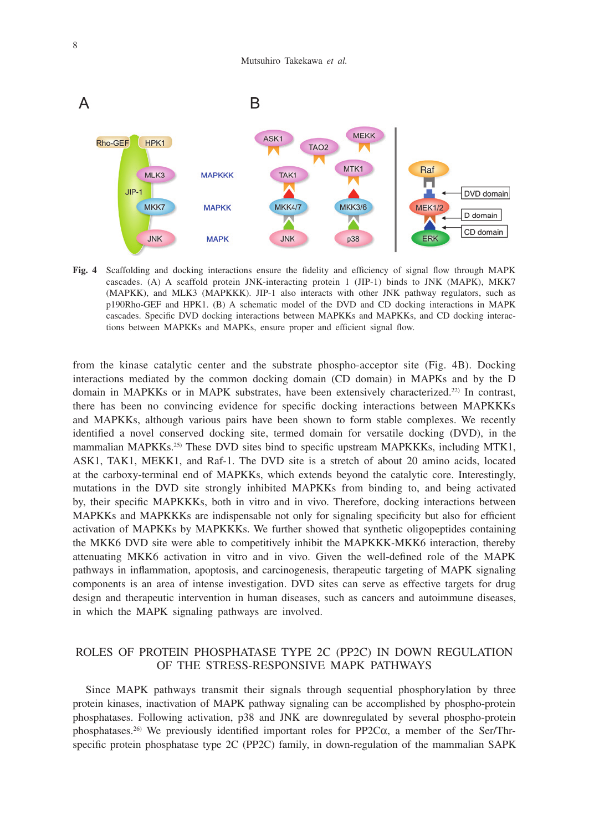

**Fig. 4** Scaffolding and docking interactions ensure the fidelity and efficiency of signal flow through MAPK cascades. (A) A scaffold protein JNK-interacting protein 1 (JIP-1) binds to JNK (MAPK), MKK7 (MAPKK), and MLK3 (MAPKKK). JIP-1 also interacts with other JNK pathway regulators, such as p190Rho-GEF and HPK1. (B) A schematic model of the DVD and CD docking interactions in MAPK cascades. Specific DVD docking interactions between MAPKKs and MAPKKs, and CD docking interactions between MAPKKs and MAPKs, ensure proper and efficient signal flow.

from the kinase catalytic center and the substrate phospho-acceptor site (Fig. 4B). Docking interactions mediated by the common docking domain (CD domain) in MAPKs and by the D domain in MAPKKs or in MAPK substrates, have been extensively characterized.<sup>22)</sup> In contrast, there has been no convincing evidence for specific docking interactions between MAPKKKs and MAPKKs, although various pairs have been shown to form stable complexes. We recently identified a novel conserved docking site, termed domain for versatile docking (DVD), in the mammalian MAPKKs.<sup>25)</sup> These DVD sites bind to specific upstream MAPKKKs, including MTK1, ASK1, TAK1, MEKK1, and Raf-1. The DVD site is a stretch of about 20 amino acids, located at the carboxy-terminal end of MAPKKs, which extends beyond the catalytic core. Interestingly, mutations in the DVD site strongly inhibited MAPKKs from binding to, and being activated by, their specific MAPKKKs, both in vitro and in vivo. Therefore, docking interactions between MAPKKs and MAPKKKs are indispensable not only for signaling specificity but also for efficient activation of MAPKKs by MAPKKKs. We further showed that synthetic oligopeptides containing the MKK6 DVD site were able to competitively inhibit the MAPKKK-MKK6 interaction, thereby attenuating MKK6 activation in vitro and in vivo. Given the well-defined role of the MAPK pathways in inflammation, apoptosis, and carcinogenesis, therapeutic targeting of MAPK signaling components is an area of intense investigation. DVD sites can serve as effective targets for drug design and therapeutic intervention in human diseases, such as cancers and autoimmune diseases, in which the MAPK signaling pathways are involved.

### ROLES OF PROTEIN PHOSPHATASE TYPE 2C (PP2C) IN DOWN REGULATION OF THE STRESS-RESPONSIVE MAPK PATHWAYS

Since MAPK pathways transmit their signals through sequential phosphorylation by three protein kinases, inactivation of MAPK pathway signaling can be accomplished by phospho-protein phosphatases. Following activation, p38 and JNK are downregulated by several phospho-protein phosphatases.<sup>26)</sup> We previously identified important roles for  $PP2C\alpha$ , a member of the Ser/Thrspecific protein phosphatase type 2C (PP2C) family, in down-regulation of the mammalian SAPK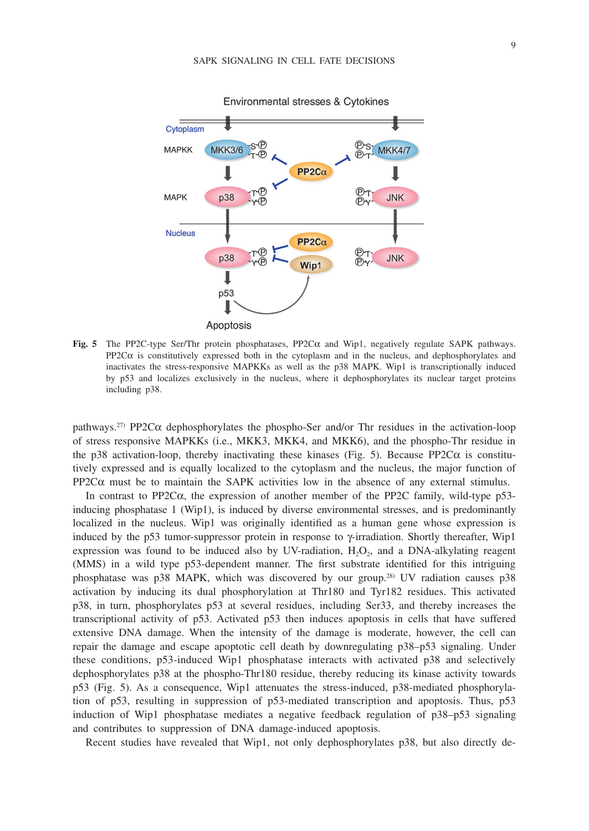

**Fig. 5** The PP2C-type Ser/Thr protein phosphatases, PP2C $\alpha$  and Wip1, negatively regulate SAPK pathways.  $PP2C\alpha$  is constitutively expressed both in the cytoplasm and in the nucleus, and dephosphorylates and inactivates the stress-responsive MAPKKs as well as the p38 MAPK. Wip1 is transcriptionally induced by p53 and localizes exclusively in the nucleus, where it dephosphorylates its nuclear target proteins including p38.

pathways.<sup>27)</sup> PP2C $\alpha$  dephosphorylates the phospho-Ser and/or Thr residues in the activation-loop of stress responsive MAPKKs (i.e., MKK3, MKK4, and MKK6), and the phospho-Thr residue in the p38 activation-loop, thereby inactivating these kinases (Fig. 5). Because PP2C $\alpha$  is constitutively expressed and is equally localized to the cytoplasm and the nucleus, the major function of  $PP2C\alpha$  must be to maintain the SAPK activities low in the absence of any external stimulus.

In contrast to PP2Cα, the expression of another member of the PP2C family, wild-type p53 inducing phosphatase 1 (Wip1), is induced by diverse environmental stresses, and is predominantly localized in the nucleus. Wip1 was originally identified as a human gene whose expression is induced by the p53 tumor-suppressor protein in response to  $\gamma$ -irradiation. Shortly thereafter, Wip1 expression was found to be induced also by UV-radiation,  $H<sub>2</sub>O<sub>2</sub>$ , and a DNA-alkylating reagent (MMS) in a wild type p53-dependent manner. The first substrate identified for this intriguing phosphatase was p38 MAPK, which was discovered by our group.<sup>28)</sup> UV radiation causes p38 activation by inducing its dual phosphorylation at Thr180 and Tyr182 residues. This activated p38, in turn, phosphorylates p53 at several residues, including Ser33, and thereby increases the transcriptional activity of p53. Activated p53 then induces apoptosis in cells that have suffered extensive DNA damage. When the intensity of the damage is moderate, however, the cell can repair the damage and escape apoptotic cell death by downregulating p38–p53 signaling. Under these conditions, p53-induced Wip1 phosphatase interacts with activated p38 and selectively dephosphorylates p38 at the phospho-Thr180 residue, thereby reducing its kinase activity towards p53 (Fig. 5). As a consequence, Wip1 attenuates the stress-induced, p38-mediated phosphorylation of p53, resulting in suppression of p53-mediated transcription and apoptosis. Thus, p53 induction of Wip1 phosphatase mediates a negative feedback regulation of p38–p53 signaling and contributes to suppression of DNA damage-induced apoptosis.

Recent studies have revealed that Wip1, not only dephosphorylates p38, but also directly de-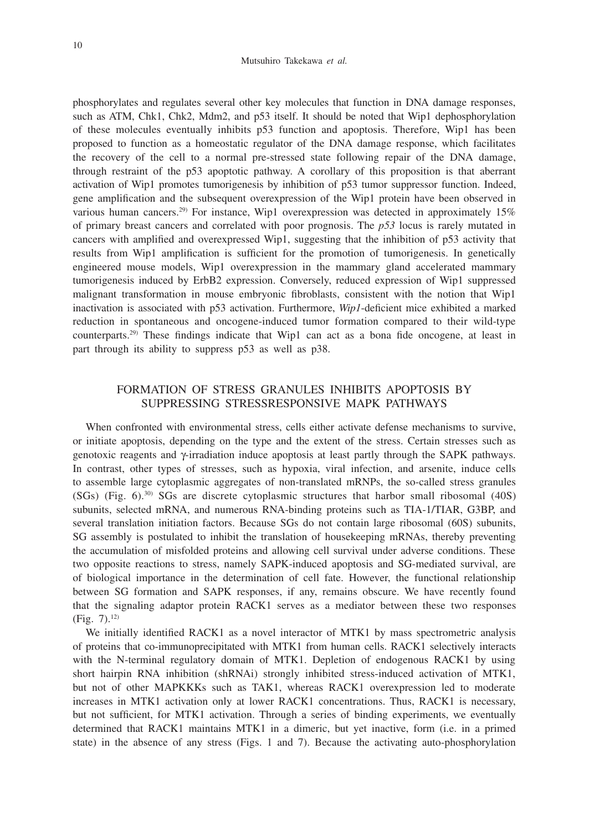phosphorylates and regulates several other key molecules that function in DNA damage responses, such as ATM, Chk1, Chk2, Mdm2, and p53 itself. It should be noted that Wip1 dephosphorylation of these molecules eventually inhibits p53 function and apoptosis. Therefore, Wip1 has been proposed to function as a homeostatic regulator of the DNA damage response, which facilitates the recovery of the cell to a normal pre-stressed state following repair of the DNA damage, through restraint of the p53 apoptotic pathway. A corollary of this proposition is that aberrant activation of Wip1 promotes tumorigenesis by inhibition of p53 tumor suppressor function. Indeed, gene amplification and the subsequent overexpression of the Wip1 protein have been observed in various human cancers.29) For instance, Wip1 overexpression was detected in approximately 15% of primary breast cancers and correlated with poor prognosis. The *p53* locus is rarely mutated in cancers with amplified and overexpressed Wip1, suggesting that the inhibition of p53 activity that results from Wip1 amplification is sufficient for the promotion of tumorigenesis. In genetically engineered mouse models, Wip1 overexpression in the mammary gland accelerated mammary tumorigenesis induced by ErbB2 expression. Conversely, reduced expression of Wip1 suppressed malignant transformation in mouse embryonic fibroblasts, consistent with the notion that Wip1 inactivation is associated with p53 activation. Furthermore, *Wip1*-deficient mice exhibited a marked reduction in spontaneous and oncogene-induced tumor formation compared to their wild-type counterparts.29) These findings indicate that Wip1 can act as a bona fide oncogene, at least in part through its ability to suppress p53 as well as p38.

# FORMATION OF STRESS GRANULES INHIBITS APOPTOSIS BY SUPPRESSING STRESSRESPONSIVE MAPK PATHWAYS

When confronted with environmental stress, cells either activate defense mechanisms to survive, or initiate apoptosis, depending on the type and the extent of the stress. Certain stresses such as genotoxic reagents and  $\gamma$ -irradiation induce apoptosis at least partly through the SAPK pathways. In contrast, other types of stresses, such as hypoxia, viral infection, and arsenite, induce cells to assemble large cytoplasmic aggregates of non-translated mRNPs, the so-called stress granules  $(SGs)$  (Fig. 6).<sup>30)</sup> SGs are discrete cytoplasmic structures that harbor small ribosomal (40S) subunits, selected mRNA, and numerous RNA-binding proteins such as TIA-1/TIAR, G3BP, and several translation initiation factors. Because SGs do not contain large ribosomal (60S) subunits, SG assembly is postulated to inhibit the translation of housekeeping mRNAs, thereby preventing the accumulation of misfolded proteins and allowing cell survival under adverse conditions. These two opposite reactions to stress, namely SAPK-induced apoptosis and SG-mediated survival, are of biological importance in the determination of cell fate. However, the functional relationship between SG formation and SAPK responses, if any, remains obscure. We have recently found that the signaling adaptor protein RACK1 serves as a mediator between these two responses  $(Fig. 7).^{12}$ 

We initially identified RACK1 as a novel interactor of MTK1 by mass spectrometric analysis of proteins that co-immunoprecipitated with MTK1 from human cells. RACK1 selectively interacts with the N-terminal regulatory domain of MTK1. Depletion of endogenous RACK1 by using short hairpin RNA inhibition (shRNAi) strongly inhibited stress-induced activation of MTK1, but not of other MAPKKKs such as TAK1, whereas RACK1 overexpression led to moderate increases in MTK1 activation only at lower RACK1 concentrations. Thus, RACK1 is necessary, but not sufficient, for MTK1 activation. Through a series of binding experiments, we eventually determined that RACK1 maintains MTK1 in a dimeric, but yet inactive, form (i.e. in a primed state) in the absence of any stress (Figs. 1 and 7). Because the activating auto-phosphorylation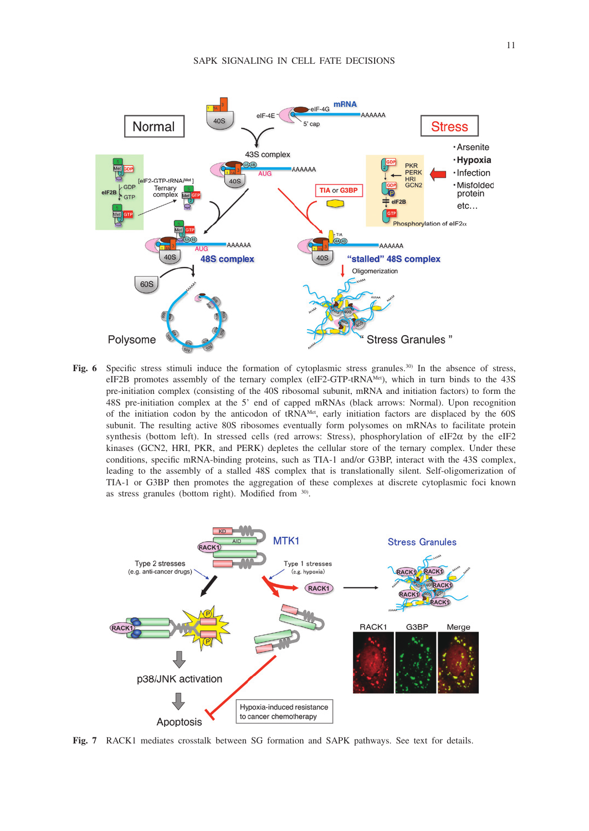

**Fig. 6** Specific stress stimuli induce the formation of cytoplasmic stress granules.30) In the absence of stress, eIF2B promotes assembly of the ternary complex (eIF2-GTP-tRNAMet), which in turn binds to the 43S pre-initiation complex (consisting of the 40S ribosomal subunit, mRNA and initiation factors) to form the 48S pre-initiation complex at the 5' end of capped mRNAs (black arrows: Normal). Upon recognition of the initiation codon by the anticodon of tRNAMet, early initiation factors are displaced by the 60S subunit. The resulting active 80S ribosomes eventually form polysomes on mRNAs to facilitate protein synthesis (bottom left). In stressed cells (red arrows: Stress), phosphorylation of eIF2 $\alpha$  by the eIF2 kinases (GCN2, HRI, PKR, and PERK) depletes the cellular store of the ternary complex. Under these conditions, specific mRNA-binding proteins, such as TIA-1 and/or G3BP, interact with the 43S complex, leading to the assembly of a stalled 48S complex that is translationally silent. Self-oligomerization of TIA-1 or G3BP then promotes the aggregation of these complexes at discrete cytoplasmic foci known as stress granules (bottom right). Modified from 30).



**Fig. 7** RACK1 mediates crosstalk between SG formation and SAPK pathways. See text for details.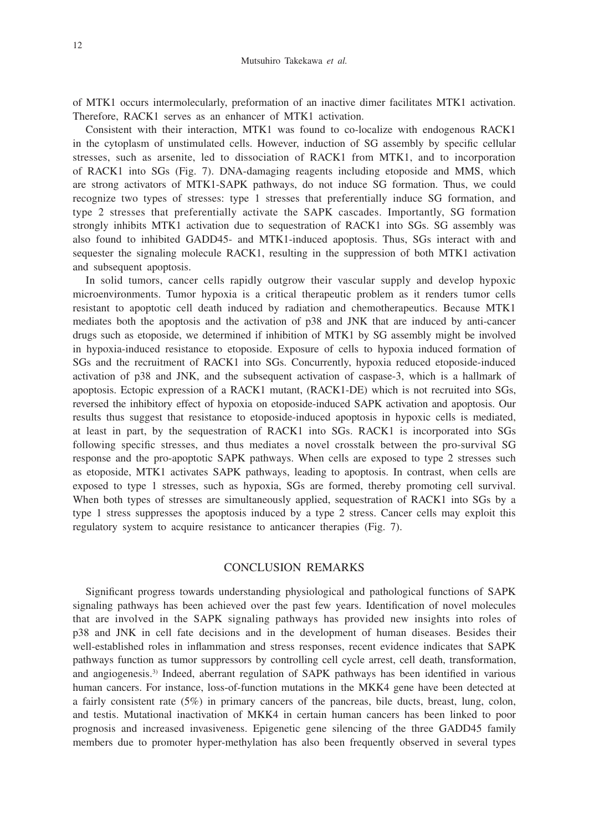of MTK1 occurs intermolecularly, preformation of an inactive dimer facilitates MTK1 activation. Therefore, RACK1 serves as an enhancer of MTK1 activation.

Consistent with their interaction, MTK1 was found to co-localize with endogenous RACK1 in the cytoplasm of unstimulated cells. However, induction of SG assembly by specific cellular stresses, such as arsenite, led to dissociation of RACK1 from MTK1, and to incorporation of RACK1 into SGs (Fig. 7). DNA-damaging reagents including etoposide and MMS, which are strong activators of MTK1-SAPK pathways, do not induce SG formation. Thus, we could recognize two types of stresses: type 1 stresses that preferentially induce SG formation, and type 2 stresses that preferentially activate the SAPK cascades. Importantly, SG formation strongly inhibits MTK1 activation due to sequestration of RACK1 into SGs. SG assembly was also found to inhibited GADD45- and MTK1-induced apoptosis. Thus, SGs interact with and sequester the signaling molecule RACK1, resulting in the suppression of both MTK1 activation and subsequent apoptosis.

In solid tumors, cancer cells rapidly outgrow their vascular supply and develop hypoxic microenvironments. Tumor hypoxia is a critical therapeutic problem as it renders tumor cells resistant to apoptotic cell death induced by radiation and chemotherapeutics. Because MTK1 mediates both the apoptosis and the activation of p38 and JNK that are induced by anti-cancer drugs such as etoposide, we determined if inhibition of MTK1 by SG assembly might be involved in hypoxia-induced resistance to etoposide. Exposure of cells to hypoxia induced formation of SGs and the recruitment of RACK1 into SGs. Concurrently, hypoxia reduced etoposide-induced activation of p38 and JNK, and the subsequent activation of caspase-3, which is a hallmark of apoptosis. Ectopic expression of a RACK1 mutant, (RACK1-DE) which is not recruited into SGs, reversed the inhibitory effect of hypoxia on etoposide-induced SAPK activation and apoptosis. Our results thus suggest that resistance to etoposide-induced apoptosis in hypoxic cells is mediated, at least in part, by the sequestration of RACK1 into SGs. RACK1 is incorporated into SGs following specific stresses, and thus mediates a novel crosstalk between the pro-survival SG response and the pro-apoptotic SAPK pathways. When cells are exposed to type 2 stresses such as etoposide, MTK1 activates SAPK pathways, leading to apoptosis. In contrast, when cells are exposed to type 1 stresses, such as hypoxia, SGs are formed, thereby promoting cell survival. When both types of stresses are simultaneously applied, sequestration of RACK1 into SGs by a type 1 stress suppresses the apoptosis induced by a type 2 stress. Cancer cells may exploit this regulatory system to acquire resistance to anticancer therapies (Fig. 7).

#### CONCLUSION REMARKS

Significant progress towards understanding physiological and pathological functions of SAPK signaling pathways has been achieved over the past few years. Identification of novel molecules that are involved in the SAPK signaling pathways has provided new insights into roles of p38 and JNK in cell fate decisions and in the development of human diseases. Besides their well-established roles in inflammation and stress responses, recent evidence indicates that SAPK pathways function as tumor suppressors by controlling cell cycle arrest, cell death, transformation, and angiogenesis.3) Indeed, aberrant regulation of SAPK pathways has been identified in various human cancers. For instance, loss-of-function mutations in the MKK4 gene have been detected at a fairly consistent rate (5%) in primary cancers of the pancreas, bile ducts, breast, lung, colon, and testis. Mutational inactivation of MKK4 in certain human cancers has been linked to poor prognosis and increased invasiveness. Epigenetic gene silencing of the three GADD45 family members due to promoter hyper-methylation has also been frequently observed in several types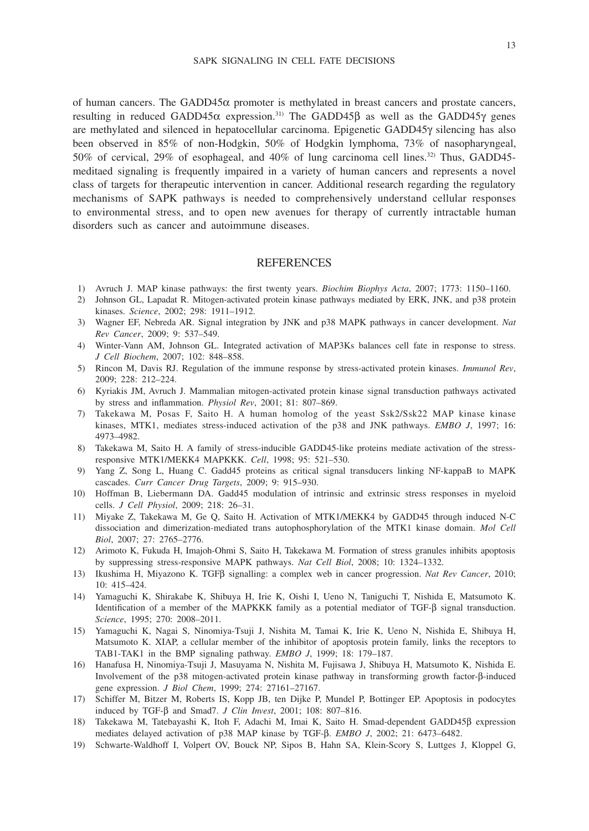of human cancers. The  $GADD45\alpha$  promoter is methylated in breast cancers and prostate cancers, resulting in reduced GADD45 $\alpha$  expression.<sup>31)</sup> The GADD45 $\beta$  as well as the GADD45 $\gamma$  genes are methylated and silenced in hepatocellular carcinoma. Epigenetic GADD45y silencing has also been observed in 85% of non-Hodgkin, 50% of Hodgkin lymphoma, 73% of nasopharyngeal, 50% of cervical, 29% of esophageal, and 40% of lung carcinoma cell lines.32) Thus, GADD45 meditaed signaling is frequently impaired in a variety of human cancers and represents a novel class of targets for therapeutic intervention in cancer. Additional research regarding the regulatory mechanisms of SAPK pathways is needed to comprehensively understand cellular responses to environmental stress, and to open new avenues for therapy of currently intractable human disorders such as cancer and autoimmune diseases.

#### REFERENCES

- 1) Avruch J. MAP kinase pathways: the first twenty years. *Biochim Biophys Acta*, 2007; 1773: 1150–1160.
- 2) Johnson GL, Lapadat R. Mitogen-activated protein kinase pathways mediated by ERK, JNK, and p38 protein kinases. *Science*, 2002; 298: 1911–1912.
- 3) Wagner EF, Nebreda AR. Signal integration by JNK and p38 MAPK pathways in cancer development. *Nat Rev Cancer*, 2009; 9: 537–549.
- 4) Winter-Vann AM, Johnson GL. Integrated activation of MAP3Ks balances cell fate in response to stress. *J Cell Biochem*, 2007; 102: 848–858.
- 5) Rincon M, Davis RJ. Regulation of the immune response by stress-activated protein kinases. *Immunol Rev*, 2009; 228: 212–224.
- 6) Kyriakis JM, Avruch J. Mammalian mitogen-activated protein kinase signal transduction pathways activated by stress and inflammation. *Physiol Rev*, 2001; 81: 807–869.
- 7) Takekawa M, Posas F, Saito H. A human homolog of the yeast Ssk2/Ssk22 MAP kinase kinase kinases, MTK1, mediates stress-induced activation of the p38 and JNK pathways. *EMBO J*, 1997; 16: 4973–4982.
- 8) Takekawa M, Saito H. A family of stress-inducible GADD45-like proteins mediate activation of the stressresponsive MTK1/MEKK4 MAPKKK. *Cell*, 1998; 95: 521–530.
- 9) Yang Z, Song L, Huang C. Gadd45 proteins as critical signal transducers linking NF-kappaB to MAPK cascades. *Curr Cancer Drug Targets*, 2009; 9: 915–930.
- 10) Hoffman B, Liebermann DA. Gadd45 modulation of intrinsic and extrinsic stress responses in myeloid cells. *J Cell Physiol*, 2009; 218: 26–31.
- 11) Miyake Z, Takekawa M, Ge Q, Saito H. Activation of MTK1/MEKK4 by GADD45 through induced N-C dissociation and dimerization-mediated trans autophosphorylation of the MTK1 kinase domain. *Mol Cell Biol*, 2007; 27: 2765–2776.
- 12) Arimoto K, Fukuda H, Imajoh-Ohmi S, Saito H, Takekawa M. Formation of stress granules inhibits apoptosis by suppressing stress-responsive MAPK pathways. *Nat Cell Biol*, 2008; 10: 1324–1332.
- 13) Ikushima H, Miyazono K. TGFß signalling: a complex web in cancer progression. *Nat Rev Cancer*, 2010; 10: 415–424.
- 14) Yamaguchi K, Shirakabe K, Shibuya H, Irie K, Oishi I, Ueno N, Taniguchi T, Nishida E, Matsumoto K. Identification of a member of the MAPKKK family as a potential mediator of TGF- $\beta$  signal transduction. *Science*, 1995; 270: 2008–2011.
- 15) Yamaguchi K, Nagai S, Ninomiya-Tsuji J, Nishita M, Tamai K, Irie K, Ueno N, Nishida E, Shibuya H, Matsumoto K. XIAP, a cellular member of the inhibitor of apoptosis protein family, links the receptors to TAB1-TAK1 in the BMP signaling pathway. *EMBO J*, 1999; 18: 179–187.
- 16) Hanafusa H, Ninomiya-Tsuji J, Masuyama N, Nishita M, Fujisawa J, Shibuya H, Matsumoto K, Nishida E. Involvement of the p38 mitogen-activated protein kinase pathway in transforming growth factor-b-induced gene expression. *J Biol Chem*, 1999; 274: 27161–27167.
- 17) Schiffer M, Bitzer M, Roberts IS, Kopp JB, ten Dijke P, Mundel P, Bottinger EP. Apoptosis in podocytes induced by TGF-b and Smad7. *J Clin Invest*, 2001; 108: 807–816.
- 18) Takekawa M, Tatebayashi K, Itoh F, Adachi M, Imai K, Saito H. Smad-dependent GADD45b expression mediates delayed activation of p38 MAP kinase by TGF-b. *EMBO J*, 2002; 21: 6473–6482.
- 19) Schwarte-Waldhoff I, Volpert OV, Bouck NP, Sipos B, Hahn SA, Klein-Scory S, Luttges J, Kloppel G,